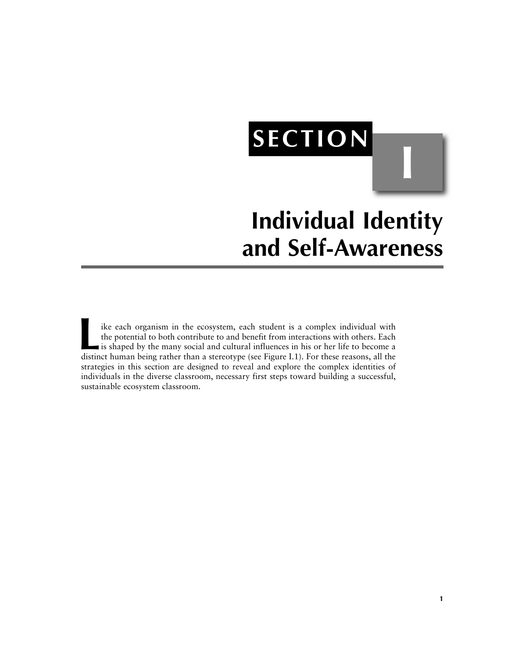### **SECTION**

### **Individual Identity and Self-Awareness**

**I**

ike each organism in the ecosystem, each student is a complex individual with<br>the potential to both contribute to and benefit from interactions with others. Each<br>is shaped by the many social and cultural influences in his the potential to both contribute to and benefit from interactions with others. Each is shaped by the many social and cultural influences in his or her life to become a distinct human being rather than a stereotype (see Figure I.1). For these reasons, all the strategies in this section are designed to reveal and explore the complex identities of individuals in the diverse classroom, necessary first steps toward building a successful, sustainable ecosystem classroom.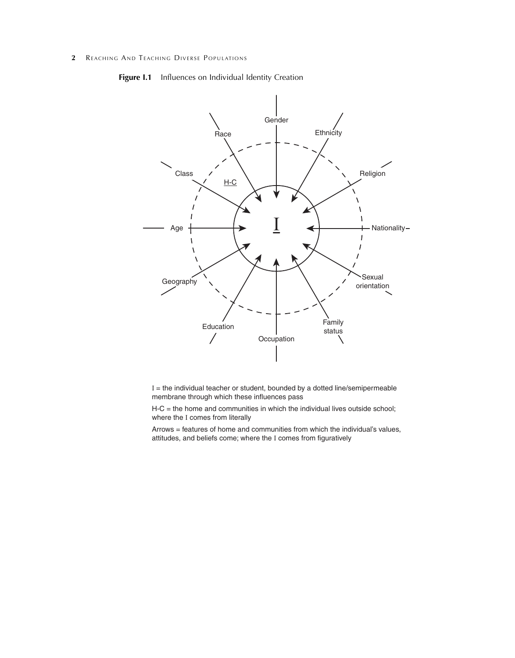#### **2** REACHING AND TEACHING DIVERSE POPULATIONS

#### Gender **Ethnicity** Race Class Religion H-C I Age  $\leftarrow$   $\qquad \qquad$   $\qquad \qquad$   $\qquad \qquad$   $\qquad \qquad$   $\qquad \qquad$  Nationality-I Sexual Geography  $\left\langle \begin{array}{c} \end{array} \right\rangle$   $\left\langle \begin{array}{c} \end{array} \right\rangle$  orientation Family Education status **Occupation**

#### **Figure I.1** Influences on Individual Identity Creation

 $I =$  the individual teacher or student, bounded by a dotted line/semipermeable membrane through which these influences pass

H-C = the home and communities in which the individual lives outside school; where the I comes from literally

Arrows = features of home and communities from which the individual's values, attitudes, and beliefs come; where the I comes from figuratively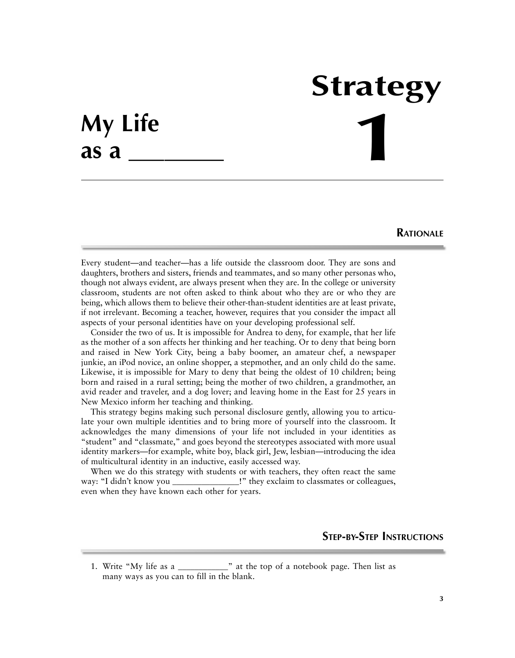## **Strategy 1 My Life**

## **as a \_\_\_\_\_\_\_\_**

#### **RATIONALE**

Every student—and teacher—has a life outside the classroom door. They are sons and daughters, brothers and sisters, friends and teammates, and so many other personas who, though not always evident, are always present when they are. In the college or university classroom, students are not often asked to think about who they are or who they are being, which allows them to believe their other-than-student identities are at least private, if not irrelevant. Becoming a teacher, however, requires that you consider the impact all aspects of your personal identities have on your developing professional self.

Consider the two of us. It is impossible for Andrea to deny, for example, that her life as the mother of a son affects her thinking and her teaching. Or to deny that being born and raised in New York City, being a baby boomer, an amateur chef, a newspaper junkie, an iPod novice, an online shopper, a stepmother, and an only child do the same. Likewise, it is impossible for Mary to deny that being the oldest of 10 children; being born and raised in a rural setting; being the mother of two children, a grandmother, an avid reader and traveler, and a dog lover; and leaving home in the East for 25 years in New Mexico inform her teaching and thinking.

This strategy begins making such personal disclosure gently, allowing you to articulate your own multiple identities and to bring more of yourself into the classroom. It acknowledges the many dimensions of your life not included in your identities as "student" and "classmate," and goes beyond the stereotypes associated with more usual identity markers—for example, white boy, black girl, Jew, lesbian—introducing the idea of multicultural identity in an inductive, easily accessed way.

When we do this strategy with students or with teachers, they often react the same way: "I didn't know you \_\_\_\_\_\_\_\_\_\_\_\_\_\_\_\_\_\_\_\_\_!" they exclaim to classmates or colleagues, even when they have known each other for years.

<sup>1.</sup> Write "My life as a \_\_\_\_\_\_\_\_\_\_\_\_" at the top of a notebook page. Then list as many ways as you can to fill in the blank.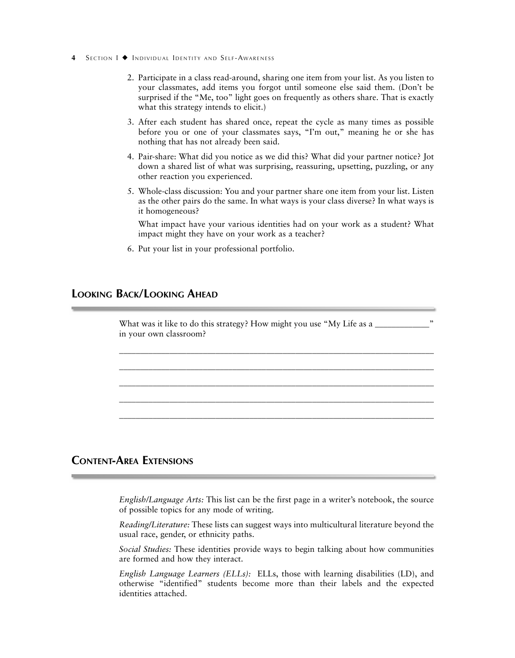- **4** SECTION I  $\blacklozenge$  Individual Identity and Sele-Awareness
	- 2. Participate in a class read-around, sharing one item from your list. As you listen to your classmates, add items you forgot until someone else said them. (Don't be surprised if the "Me, too" light goes on frequently as others share. That is exactly what this strategy intends to elicit.)
	- 3. After each student has shared once, repeat the cycle as many times as possible before you or one of your classmates says, "I'm out," meaning he or she has nothing that has not already been said.
	- 4. Pair-share: What did you notice as we did this? What did your partner notice? Jot down a shared list of what was surprising, reassuring, upsetting, puzzling, or any other reaction you experienced.
	- 5. Whole-class discussion: You and your partner share one item from your list. Listen as the other pairs do the same. In what ways is your class diverse? In what ways is it homogeneous?

What impact have your various identities had on your work as a student? What impact might they have on your work as a teacher?

6. Put your list in your professional portfolio.

#### **LOOKING BACK/LOOKING AHEAD**

What was it like to do this strategy? How might you use "My Life as a \_\_\_\_\_\_\_\_\_\_\_\_\_\_\_\_" in your own classroom?

\_\_\_\_\_\_\_\_\_\_\_\_\_\_\_\_\_\_\_\_\_\_\_\_\_\_\_\_\_\_\_\_\_\_\_\_\_\_\_\_\_\_\_\_\_\_\_\_\_\_\_\_\_\_\_\_\_\_\_\_\_\_\_\_\_\_\_\_\_\_\_\_\_\_\_

\_\_\_\_\_\_\_\_\_\_\_\_\_\_\_\_\_\_\_\_\_\_\_\_\_\_\_\_\_\_\_\_\_\_\_\_\_\_\_\_\_\_\_\_\_\_\_\_\_\_\_\_\_\_\_\_\_\_\_\_\_\_\_\_\_\_\_\_\_\_\_\_\_\_\_

\_\_\_\_\_\_\_\_\_\_\_\_\_\_\_\_\_\_\_\_\_\_\_\_\_\_\_\_\_\_\_\_\_\_\_\_\_\_\_\_\_\_\_\_\_\_\_\_\_\_\_\_\_\_\_\_\_\_\_\_\_\_\_\_\_\_\_\_\_\_\_\_\_\_\_

\_\_\_\_\_\_\_\_\_\_\_\_\_\_\_\_\_\_\_\_\_\_\_\_\_\_\_\_\_\_\_\_\_\_\_\_\_\_\_\_\_\_\_\_\_\_\_\_\_\_\_\_\_\_\_\_\_\_\_\_\_\_\_\_\_\_\_\_\_\_\_\_\_\_\_

\_\_\_\_\_\_\_\_\_\_\_\_\_\_\_\_\_\_\_\_\_\_\_\_\_\_\_\_\_\_\_\_\_\_\_\_\_\_\_\_\_\_\_\_\_\_\_\_\_\_\_\_\_\_\_\_\_\_\_\_\_\_\_\_\_\_\_\_\_\_\_\_\_\_\_

#### **CONTENT-AREA EXTENSIONS**

*English/Language Arts:* This list can be the first page in a writer's notebook, the source of possible topics for any mode of writing.

*Reading/Literature:* These lists can suggest ways into multicultural literature beyond the usual race, gender, or ethnicity paths.

*Social Studies:* These identities provide ways to begin talking about how communities are formed and how they interact.

*English Language Learners (ELLs):* ELLs, those with learning disabilities (LD), and otherwise "identified" students become more than their labels and the expected identities attached.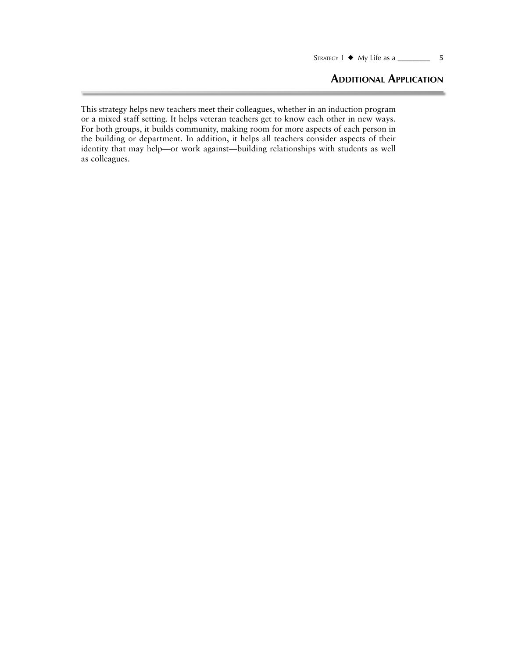This strategy helps new teachers meet their colleagues, whether in an induction program or a mixed staff setting. It helps veteran teachers get to know each other in new ways. For both groups, it builds community, making room for more aspects of each person in the building or department. In addition, it helps all teachers consider aspects of their identity that may help—or work against—building relationships with students as well as colleagues.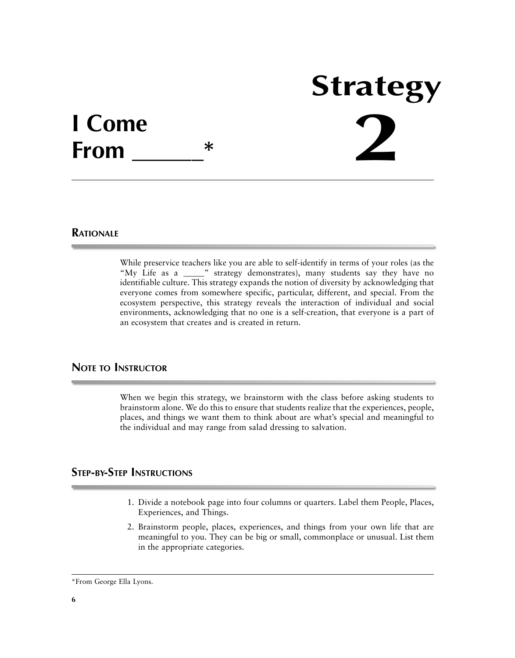## **Strategy**



#### **RATIONALE**

While preservice teachers like you are able to self-identify in terms of your roles (as the "My Life as a \_\_\_\_\_" strategy demonstrates), many students say they have no identifiable culture. This strategy expands the notion of diversity by acknowledging that everyone comes from somewhere specific, particular, different, and special. From the ecosystem perspective, this strategy reveals the interaction of individual and social environments, acknowledging that no one is a self-creation, that everyone is a part of an ecosystem that creates and is created in return.

#### **NOTE TO INSTRUCTOR**

When we begin this strategy, we brainstorm with the class before asking students to brainstorm alone. We do this to ensure that students realize that the experiences, people, places, and things we want them to think about are what's special and meaningful to the individual and may range from salad dressing to salvation.

- 1. Divide a notebook page into four columns or quarters. Label them People, Places, Experiences, and Things.
- 2. Brainstorm people, places, experiences, and things from your own life that are meaningful to you. They can be big or small, commonplace or unusual. List them in the appropriate categories.

<sup>\*</sup>From George Ella Lyons.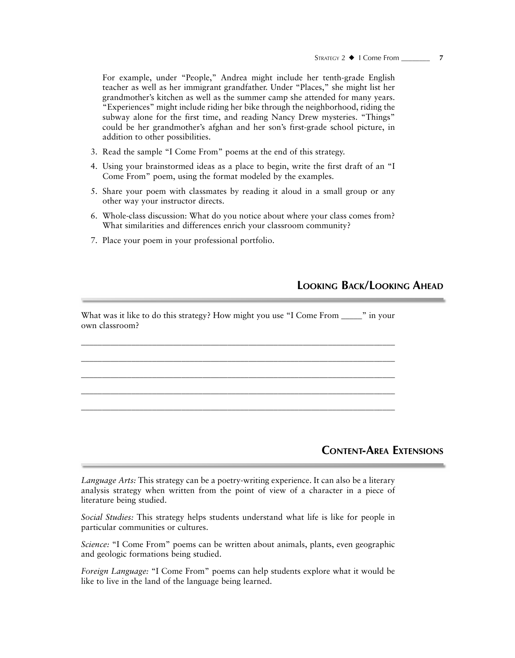For example, under "People," Andrea might include her tenth-grade English teacher as well as her immigrant grandfather. Under "Places," she might list her grandmother's kitchen as well as the summer camp she attended for many years. "Experiences" might include riding her bike through the neighborhood, riding the subway alone for the first time, and reading Nancy Drew mysteries. "Things" could be her grandmother's afghan and her son's first-grade school picture, in addition to other possibilities.

- 3. Read the sample "I Come From" poems at the end of this strategy.
- 4. Using your brainstormed ideas as a place to begin, write the first draft of an "I Come From" poem, using the format modeled by the examples.
- 5. Share your poem with classmates by reading it aloud in a small group or any other way your instructor directs.
- 6. Whole-class discussion: What do you notice about where your class comes from? What similarities and differences enrich your classroom community?
- 7. Place your poem in your professional portfolio.

#### **LOOKING BACK/LOOKING AHEAD**

What was it like to do this strategy? How might you use "I Come From \_\_\_\_\_\_" in your own classroom?

 $\overline{\phantom{a}}$  , and the set of the set of the set of the set of the set of the set of the set of the set of the set of the set of the set of the set of the set of the set of the set of the set of the set of the set of the s

 $\overline{\phantom{a}}$  , and the set of the set of the set of the set of the set of the set of the set of the set of the set of the set of the set of the set of the set of the set of the set of the set of the set of the set of the s

 $\overline{\phantom{a}}$  , and the set of the set of the set of the set of the set of the set of the set of the set of the set of the set of the set of the set of the set of the set of the set of the set of the set of the set of the s

 $\overline{\phantom{a}}$  , and the set of the set of the set of the set of the set of the set of the set of the set of the set of the set of the set of the set of the set of the set of the set of the set of the set of the set of the s

 $\overline{\phantom{a}}$  , and the set of the set of the set of the set of the set of the set of the set of the set of the set of the set of the set of the set of the set of the set of the set of the set of the set of the set of the s

#### **CONTENT-AREA EXTENSIONS**

*Language Arts:* This strategy can be a poetry-writing experience. It can also be a literary analysis strategy when written from the point of view of a character in a piece of literature being studied.

*Social Studies:* This strategy helps students understand what life is like for people in particular communities or cultures.

*Science:* "I Come From" poems can be written about animals, plants, even geographic and geologic formations being studied.

*Foreign Language:* "I Come From" poems can help students explore what it would be like to live in the land of the language being learned.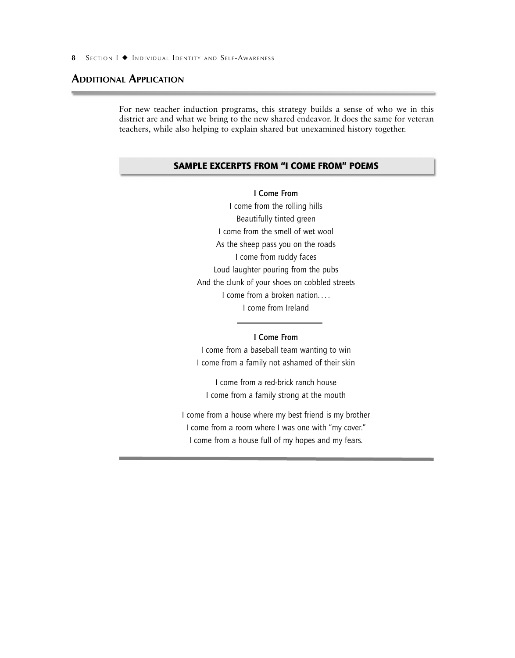8 SECTION I  $\blacklozenge$  Individual Identity and Sele-Awareness

#### **ADDITIONAL APPLICATION**

For new teacher induction programs, this strategy builds a sense of who we in this district are and what we bring to the new shared endeavor. It does the same for veteran teachers, while also helping to explain shared but unexamined history together.

#### **SAMPLE EXCERPTS FROM "I COME FROM" POEMS**

I Come From I come from the rolling hills Beautifully tinted green I come from the smell of wet wool As the sheep pass you on the roads I come from ruddy faces Loud laughter pouring from the pubs And the clunk of your shoes on cobbled streets I come from a broken nation. ... I come from Ireland

#### I Come From

I come from a baseball team wanting to win I come from a family not ashamed of their skin

I come from a red-brick ranch house I come from a family strong at the mouth

I come from a house where my best friend is my brother I come from a room where I was one with "my cover." I come from a house full of my hopes and my fears.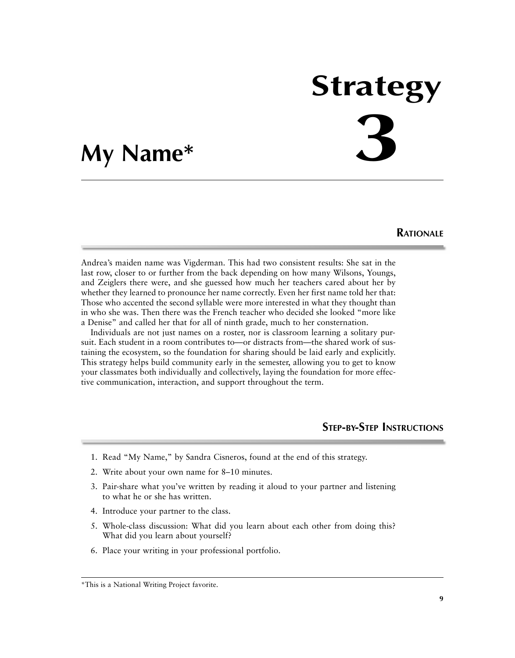## **Strategy My Name\* 3**

#### **RATIONALE**

Andrea's maiden name was Vigderman. This had two consistent results: She sat in the last row, closer to or further from the back depending on how many Wilsons, Youngs, and Zeiglers there were, and she guessed how much her teachers cared about her by whether they learned to pronounce her name correctly. Even her first name told her that: Those who accented the second syllable were more interested in what they thought than in who she was. Then there was the French teacher who decided she looked "more like a Denise" and called her that for all of ninth grade, much to her consternation.

Individuals are not just names on a roster, nor is classroom learning a solitary pursuit. Each student in a room contributes to—or distracts from—the shared work of sustaining the ecosystem, so the foundation for sharing should be laid early and explicitly. This strategy helps build community early in the semester, allowing you to get to know your classmates both individually and collectively, laying the foundation for more effective communication, interaction, and support throughout the term.

- 1. Read "My Name," by Sandra Cisneros, found at the end of this strategy.
- 2. Write about your own name for 8–10 minutes.
- 3. Pair-share what you've written by reading it aloud to your partner and listening to what he or she has written.
- 4. Introduce your partner to the class.
- 5. Whole-class discussion: What did you learn about each other from doing this? What did you learn about yourself?
- 6. Place your writing in your professional portfolio.

<sup>\*</sup>This is a National Writing Project favorite.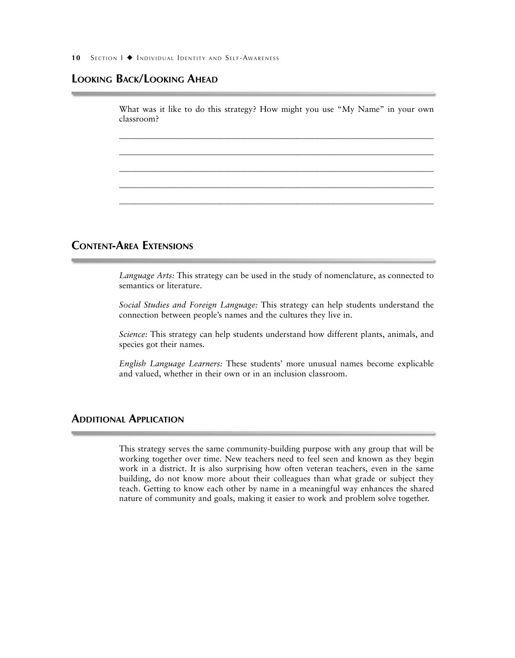10 SECTION I  $\blacklozenge$  Individual Identity and Self-Awareness

#### **LOOKING BACK/LOOKING AHEAD**

What was it like to do this strategy? How might you use "My Name" in your own classroom?

\_\_\_\_\_\_\_\_\_\_\_\_\_\_\_\_\_\_\_\_\_\_\_\_\_\_\_\_\_\_\_\_\_\_\_\_\_\_\_\_\_\_\_\_\_\_\_\_\_\_\_\_\_\_\_\_\_\_\_\_\_\_\_\_\_\_\_\_\_\_\_\_\_\_\_\_\_\_

\_\_\_\_\_\_\_\_\_\_\_\_\_\_\_\_\_\_\_\_\_\_\_\_\_\_\_\_\_\_\_\_\_\_\_\_\_\_\_\_\_\_\_\_\_\_\_\_\_\_\_\_\_\_\_\_\_\_\_\_\_\_\_\_\_\_\_\_\_\_\_\_\_\_\_\_\_\_

\_\_\_\_\_\_\_\_\_\_\_\_\_\_\_\_\_\_\_\_\_\_\_\_\_\_\_\_\_\_\_\_\_\_\_\_\_\_\_\_\_\_\_\_\_\_\_\_\_\_\_\_\_\_\_\_\_\_\_\_\_\_\_\_\_\_\_\_\_\_\_\_\_\_\_\_\_\_

\_\_\_\_\_\_\_\_\_\_\_\_\_\_\_\_\_\_\_\_\_\_\_\_\_\_\_\_\_\_\_\_\_\_\_\_\_\_\_\_\_\_\_\_\_\_\_\_\_\_\_\_\_\_\_\_\_\_\_\_\_\_\_\_\_\_\_\_\_\_\_\_\_\_\_\_\_\_

\_\_\_\_\_\_\_\_\_\_\_\_\_\_\_\_\_\_\_\_\_\_\_\_\_\_\_\_\_\_\_\_\_\_\_\_\_\_\_\_\_\_\_\_\_\_\_\_\_\_\_\_\_\_\_\_\_\_\_\_\_\_\_\_\_\_\_\_\_\_\_\_\_\_\_\_\_\_

#### **CONTENT-AREA EXTENSIONS**

*Language Arts:* This strategy can be used in the study of nomenclature, as connected to semantics or literature.

*Social Studies and Foreign Language:* This strategy can help students understand the connection between people's names and the cultures they live in.

*Science:* This strategy can help students understand how different plants, animals, and species got their names.

*English Language Learners:* These students' more unusual names become explicable and valued, whether in their own or in an inclusion classroom.

#### **ADDITIONAL APPLICATION**

This strategy serves the same community-building purpose with any group that will be working together over time. New teachers need to feel seen and known as they begin work in a district. It is also surprising how often veteran teachers, even in the same building, do not know more about their colleagues than what grade or subject they teach. Getting to know each other by name in a meaningful way enhances the shared nature of community and goals, making it easier to work and problem solve together.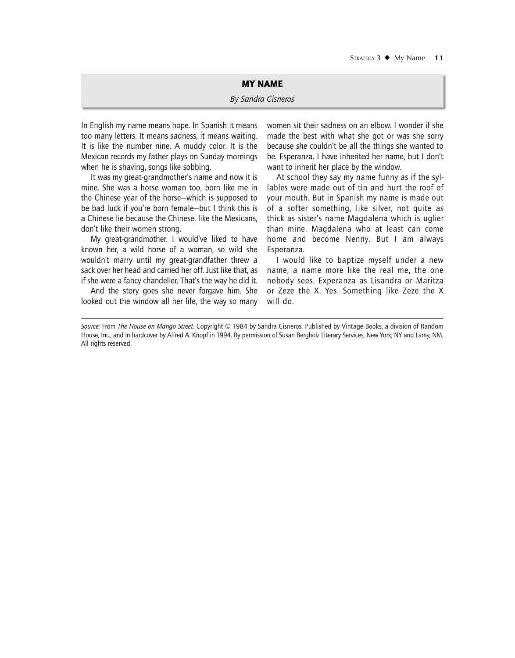#### **MY NAME**

#### *By Sandra Cisneros*

In English my name means hope. In Spanish it means too many letters. It means sadness, it means waiting. It is like the number nine. A muddy color. It is the Mexican records my father plays on Sunday mornings when he is shaving, songs like sobbing.

It was my great-grandmother's name and now it is mine. She was a horse woman too, born like me in the Chinese year of the horse—which is supposed to be bad luck if you're born female—but I think this is a Chinese lie because the Chinese, like the Mexicans, don't like their women strong.

My great-grandmother. I would've liked to have known her, a wild horse of a woman, so wild she wouldn't marry until my great-grandfather threw a sack over her head and carried her off. Just like that, as if she were a fancy chandelier. That's the way he did it.

And the story goes she never forgave him. She looked out the window all her life, the way so many women sit their sadness on an elbow. I wonder if she made the best with what she got or was she sorry because she couldn't be all the things she wanted to be. Esperanza. I have inherited her name, but I don't want to inherit her place by the window.

At school they say my name funny as if the syllables were made out of tin and hurt the roof of your mouth. But in Spanish my name is made out of a softer something, like silver, not quite as thick as sister's name Magdalena which is uglier than mine. Magdalena who at least can come home and become Nenny. But I am always Esperanza.

I would like to baptize myself under a new name, a name more like the real me, the one nobody sees. Experanza as Lisandra or Maritza or Zeze the X. Yes. Something like Zeze the X will do.

*Source:* From *The House on Mango Street*. Copyright © 1984 by Sandra Cisneros. Published by Vintage Books, a division of Random House, Inc., and in hardcover by Alfred A. Knopf in 1994. By permission of Susan Bergholz Literary Services, New York, NY and Lamy, NM. All rights reserved.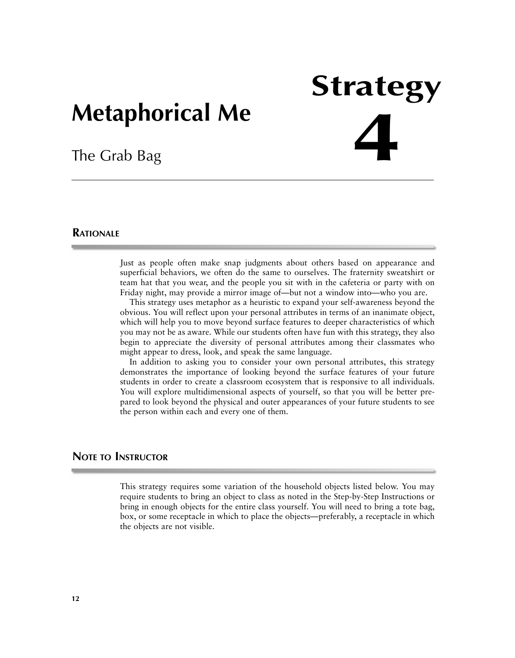### **4 Metaphorical Me**

# **Strategy**

The Grab Bag

#### **RATIONALE**

Just as people often make snap judgments about others based on appearance and superficial behaviors, we often do the same to ourselves. The fraternity sweatshirt or team hat that you wear, and the people you sit with in the cafeteria or party with on Friday night, may provide a mirror image of—but not a window into—who you are.

This strategy uses metaphor as a heuristic to expand your self-awareness beyond the obvious. You will reflect upon your personal attributes in terms of an inanimate object, which will help you to move beyond surface features to deeper characteristics of which you may not be as aware. While our students often have fun with this strategy, they also begin to appreciate the diversity of personal attributes among their classmates who might appear to dress, look, and speak the same language.

In addition to asking you to consider your own personal attributes, this strategy demonstrates the importance of looking beyond the surface features of your future students in order to create a classroom ecosystem that is responsive to all individuals. You will explore multidimensional aspects of yourself, so that you will be better prepared to look beyond the physical and outer appearances of your future students to see the person within each and every one of them.

#### **NOTE TO INSTRUCTOR**

This strategy requires some variation of the household objects listed below. You may require students to bring an object to class as noted in the Step-by-Step Instructions or bring in enough objects for the entire class yourself. You will need to bring a tote bag, box, or some receptacle in which to place the objects—preferably, a receptacle in which the objects are not visible.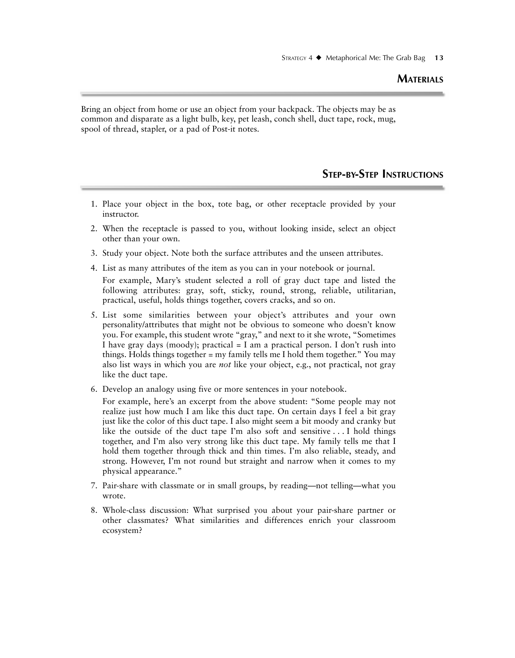Bring an object from home or use an object from your backpack. The objects may be as common and disparate as a light bulb, key, pet leash, conch shell, duct tape, rock, mug, spool of thread, stapler, or a pad of Post-it notes.

#### **STEP-BY-STEP INSTRUCTIONS**

- 1. Place your object in the box, tote bag, or other receptacle provided by your instructor.
- 2. When the receptacle is passed to you, without looking inside, select an object other than your own.
- 3. Study your object. Note both the surface attributes and the unseen attributes.
- 4. List as many attributes of the item as you can in your notebook or journal.

For example, Mary's student selected a roll of gray duct tape and listed the following attributes: gray, soft, sticky, round, strong, reliable, utilitarian, practical, useful, holds things together, covers cracks, and so on.

- 5. List some similarities between your object's attributes and your own personality/attributes that might not be obvious to someone who doesn't know you. For example, this student wrote "gray," and next to it she wrote, "Sometimes I have gray days (moody); practical  $=$  I am a practical person. I don't rush into things. Holds things together = my family tells me I hold them together." You may also list ways in which you are *not* like your object, e.g., not practical, not gray like the duct tape.
- 6. Develop an analogy using five or more sentences in your notebook.

For example, here's an excerpt from the above student: "Some people may not realize just how much I am like this duct tape. On certain days I feel a bit gray just like the color of this duct tape. I also might seem a bit moody and cranky but like the outside of the duct tape I'm also soft and sensitive ... I hold things together, and I'm also very strong like this duct tape. My family tells me that I hold them together through thick and thin times. I'm also reliable, steady, and strong. However, I'm not round but straight and narrow when it comes to my physical appearance."

- 7. Pair-share with classmate or in small groups, by reading—not telling—what you wrote.
- 8. Whole-class discussion: What surprised you about your pair-share partner or other classmates? What similarities and differences enrich your classroom ecosystem?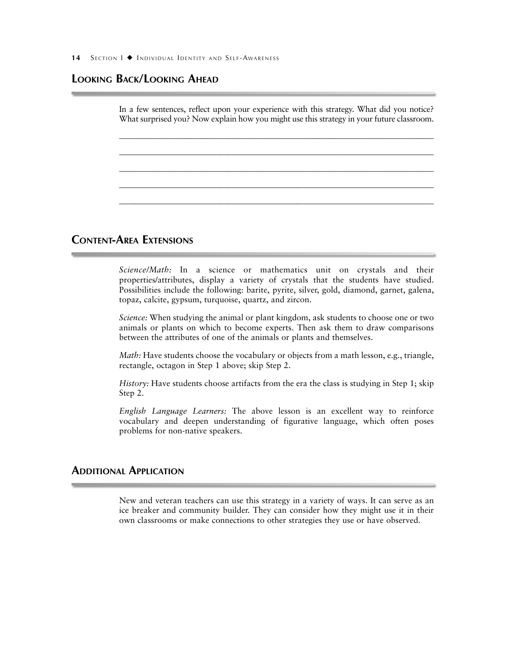#### **LOOKING BACK/LOOKING AHEAD**

In a few sentences, reflect upon your experience with this strategy. What did you notice? What surprised you? Now explain how you might use this strategy in your future classroom.

\_\_\_\_\_\_\_\_\_\_\_\_\_\_\_\_\_\_\_\_\_\_\_\_\_\_\_\_\_\_\_\_\_\_\_\_\_\_\_\_\_\_\_\_\_\_\_\_\_\_\_\_\_\_\_\_\_\_\_\_\_\_\_\_\_\_\_\_\_\_\_\_\_\_\_\_\_\_

\_\_\_\_\_\_\_\_\_\_\_\_\_\_\_\_\_\_\_\_\_\_\_\_\_\_\_\_\_\_\_\_\_\_\_\_\_\_\_\_\_\_\_\_\_\_\_\_\_\_\_\_\_\_\_\_\_\_\_\_\_\_\_\_\_\_\_\_\_\_\_\_\_\_\_\_\_\_

\_\_\_\_\_\_\_\_\_\_\_\_\_\_\_\_\_\_\_\_\_\_\_\_\_\_\_\_\_\_\_\_\_\_\_\_\_\_\_\_\_\_\_\_\_\_\_\_\_\_\_\_\_\_\_\_\_\_\_\_\_\_\_\_\_\_\_\_\_\_\_\_\_\_\_\_\_\_

\_\_\_\_\_\_\_\_\_\_\_\_\_\_\_\_\_\_\_\_\_\_\_\_\_\_\_\_\_\_\_\_\_\_\_\_\_\_\_\_\_\_\_\_\_\_\_\_\_\_\_\_\_\_\_\_\_\_\_\_\_\_\_\_\_\_\_\_\_\_\_\_\_\_\_\_\_\_

\_\_\_\_\_\_\_\_\_\_\_\_\_\_\_\_\_\_\_\_\_\_\_\_\_\_\_\_\_\_\_\_\_\_\_\_\_\_\_\_\_\_\_\_\_\_\_\_\_\_\_\_\_\_\_\_\_\_\_\_\_\_\_\_\_\_\_\_\_\_\_\_\_\_\_\_\_\_

#### **CONTENT-AREA EXTENSIONS**

*Science/Math:* In a science or mathematics unit on crystals and their properties/attributes, display a variety of crystals that the students have studied. Possibilities include the following: barite, pyrite, silver, gold, diamond, garnet, galena, topaz, calcite, gypsum, turquoise, quartz, and zircon.

*Science:* When studying the animal or plant kingdom, ask students to choose one or two animals or plants on which to become experts. Then ask them to draw comparisons between the attributes of one of the animals or plants and themselves.

*Math:* Have students choose the vocabulary or objects from a math lesson, e.g., triangle, rectangle, octagon in Step 1 above; skip Step 2.

*History:* Have students choose artifacts from the era the class is studying in Step 1; skip Step 2.

*English Language Learners:* The above lesson is an excellent way to reinforce vocabulary and deepen understanding of figurative language, which often poses problems for non-native speakers.

#### **ADDITIONAL APPLICATION**

New and veteran teachers can use this strategy in a variety of ways. It can serve as an ice breaker and community builder. They can consider how they might use it in their own classrooms or make connections to other strategies they use or have observed.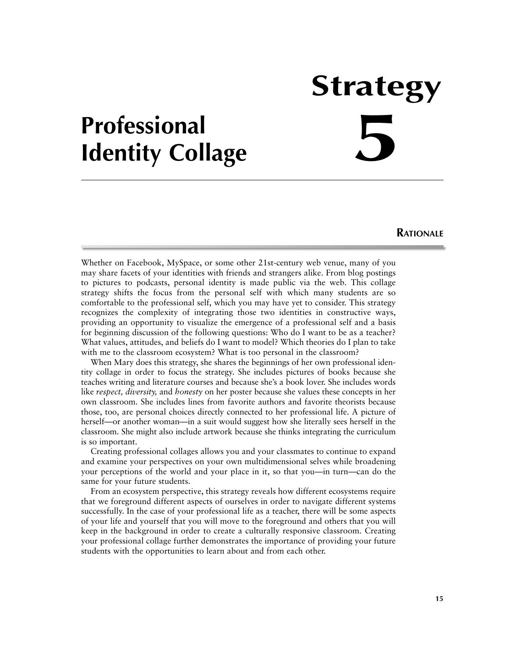# **Strategy**

## Professional<br>Identity Collage **Identity Collage**

#### **RATIONALE**

Whether on Facebook, MySpace, or some other 21st-century web venue, many of you may share facets of your identities with friends and strangers alike. From blog postings to pictures to podcasts, personal identity is made public via the web. This collage strategy shifts the focus from the personal self with which many students are so comfortable to the professional self, which you may have yet to consider. This strategy recognizes the complexity of integrating those two identities in constructive ways, providing an opportunity to visualize the emergence of a professional self and a basis for beginning discussion of the following questions: Who do I want to be as a teacher? What values, attitudes, and beliefs do I want to model? Which theories do I plan to take with me to the classroom ecosystem? What is too personal in the classroom?

When Mary does this strategy, she shares the beginnings of her own professional identity collage in order to focus the strategy. She includes pictures of books because she teaches writing and literature courses and because she's a book lover. She includes words like *respect, diversity,* and *honesty* on her poster because she values these concepts in her own classroom. She includes lines from favorite authors and favorite theorists because those, too, are personal choices directly connected to her professional life. A picture of herself—or another woman—in a suit would suggest how she literally sees herself in the classroom. She might also include artwork because she thinks integrating the curriculum is so important.

Creating professional collages allows you and your classmates to continue to expand and examine your perspectives on your own multidimensional selves while broadening your perceptions of the world and your place in it, so that you—in turn—can do the same for your future students.

From an ecosystem perspective, this strategy reveals how different ecosystems require that we foreground different aspects of ourselves in order to navigate different systems successfully. In the case of your professional life as a teacher, there will be some aspects of your life and yourself that you will move to the foreground and others that you will keep in the background in order to create a culturally responsive classroom. Creating your professional collage further demonstrates the importance of providing your future students with the opportunities to learn about and from each other.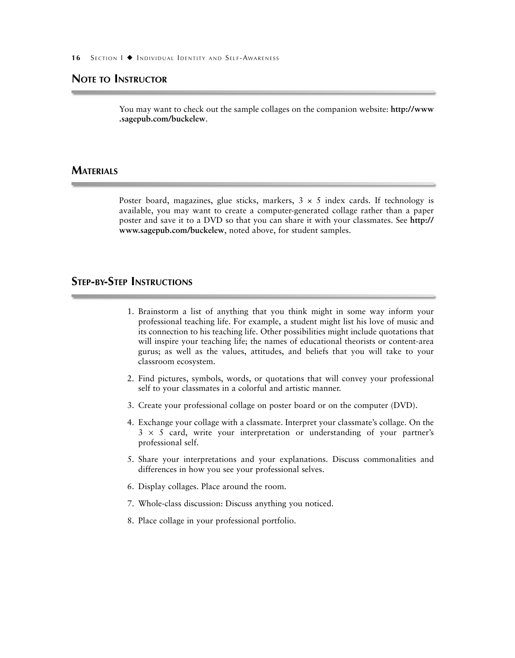#### **NOTE TO INSTRUCTOR**

You may want to check out the sample collages on the companion website: **http://www .sagepub.com/buckelew**.

#### **MATERIALS**

Poster board, magazines, glue sticks, markers,  $3 \times 5$  index cards. If technology is available, you may want to create a computer-generated collage rather than a paper poster and save it to a DVD so that you can share it with your classmates. See **http:// www.sagepub.com/buckelew**, noted above, for student samples.

- 1. Brainstorm a list of anything that you think might in some way inform your professional teaching life. For example, a student might list his love of music and its connection to his teaching life. Other possibilities might include quotations that will inspire your teaching life; the names of educational theorists or content-area gurus; as well as the values, attitudes, and beliefs that you will take to your classroom ecosystem.
- 2. Find pictures, symbols, words, or quotations that will convey your professional self to your classmates in a colorful and artistic manner.
- 3. Create your professional collage on poster board or on the computer (DVD).
- 4. Exchange your collage with a classmate. Interpret your classmate's collage. On the  $3 \times 5$  card, write your interpretation or understanding of your partner's professional self.
- 5. Share your interpretations and your explanations. Discuss commonalities and differences in how you see your professional selves.
- 6. Display collages. Place around the room.
- 7. Whole-class discussion: Discuss anything you noticed.
- 8. Place collage in your professional portfolio.